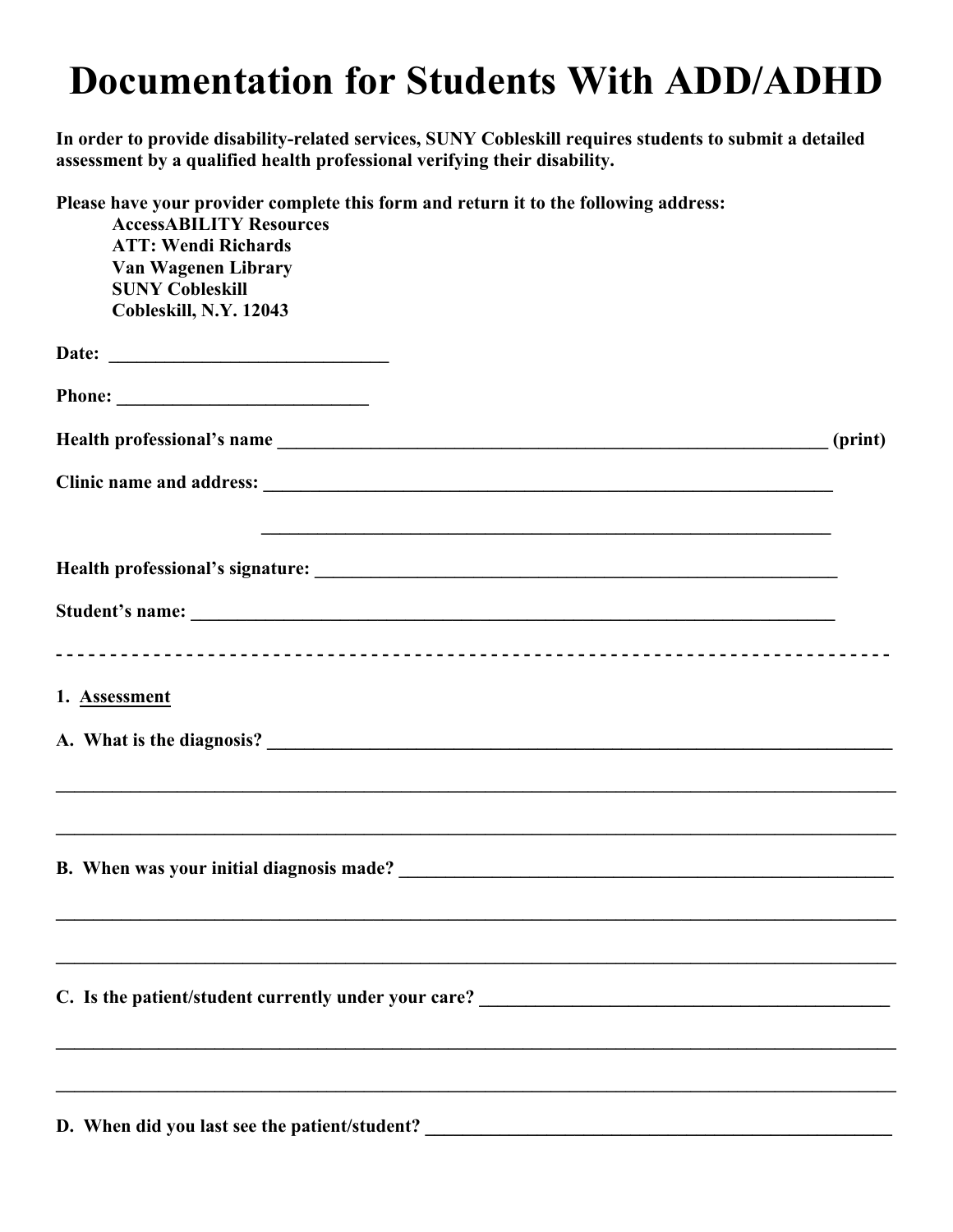## **Documentation for Students With ADD/ADHD**

**In order to provide disability-related services, SUNY Cobleskill requires students to submit a detailed assessment by a qualified health professional verifying their disability.** 

| Please have your provider complete this form and return it to the following address: |         |
|--------------------------------------------------------------------------------------|---------|
| <b>AccessABILITY Resources</b><br><b>ATT: Wendi Richards</b>                         |         |
| Van Wagenen Library                                                                  |         |
| <b>SUNY Cobleskill</b>                                                               |         |
| Cobleskill, N.Y. 12043                                                               |         |
|                                                                                      |         |
|                                                                                      |         |
|                                                                                      |         |
|                                                                                      | (print) |
|                                                                                      |         |
| <u> 1989 - Johann Stoff, amerikansk politiker (* 1908)</u>                           |         |
|                                                                                      |         |
|                                                                                      |         |
|                                                                                      |         |
|                                                                                      |         |
|                                                                                      |         |
| 1. Assessment                                                                        |         |
|                                                                                      |         |
|                                                                                      |         |
|                                                                                      |         |
| ,我们也不会有什么。""我们的人,我们也不会有什么?""我们的人,我们也不会有什么?""我们的人,我们也不会有什么?""我们的人,我们也不会有什么?""我们的人     |         |
|                                                                                      |         |
|                                                                                      |         |
|                                                                                      |         |
|                                                                                      |         |
| C. Is the patient/student currently under your care? ___________________________     |         |
|                                                                                      |         |
|                                                                                      |         |
|                                                                                      |         |
|                                                                                      |         |

D. When did you last see the patient/student? \_\_\_\_\_\_\_\_\_\_\_\_\_\_\_\_\_\_\_\_\_\_\_\_\_\_\_\_\_\_\_\_\_\_\_